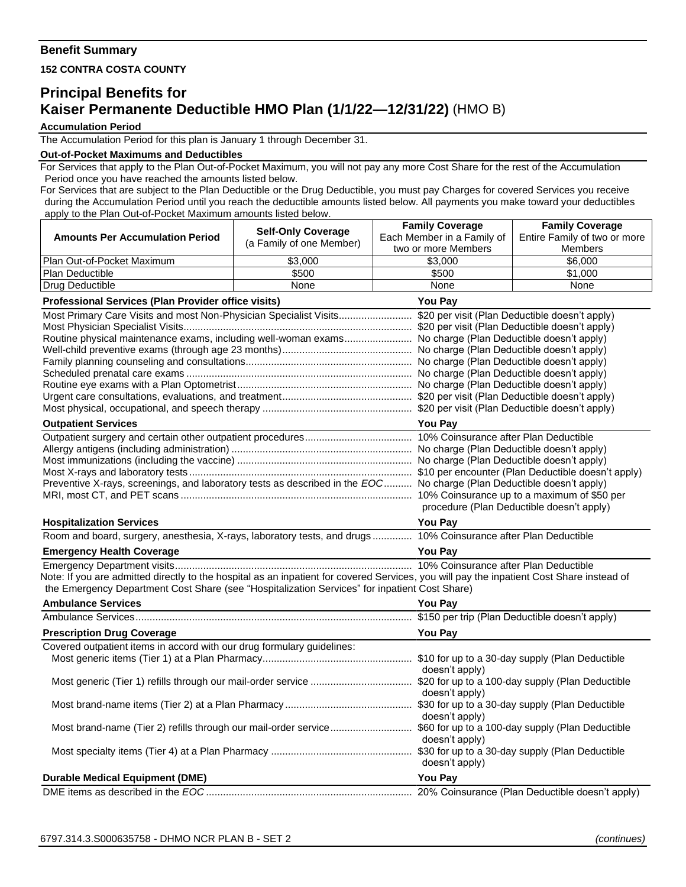## **Benefit Summary**

**152 CONTRA COSTA COUNTY**

## **Principal Benefits for Kaiser Permanente Deductible HMO Plan (1/1/22—12/31/22)** (HMO B)

## **Accumulation Period**

The Accumulation Period for this plan is January 1 through December 31.

## **Out-of-Pocket Maximums and Deductibles**

For Services that apply to the Plan Out-of-Pocket Maximum, you will not pay any more Cost Share for the rest of the Accumulation Period once you have reached the amounts listed below.

For Services that are subject to the Plan Deductible or the Drug Deductible, you must pay Charges for covered Services you receive during the Accumulation Period until you reach the deductible amounts listed below. All payments you make toward your deductibles apply to the Plan Out-of-Pocket Maximum amounts listed below.

|                                                                                                                                                           | <b>Self-Only Coverage</b> | <b>Family Coverage</b>                    | <b>Family Coverage</b>       |  |
|-----------------------------------------------------------------------------------------------------------------------------------------------------------|---------------------------|-------------------------------------------|------------------------------|--|
| <b>Amounts Per Accumulation Period</b>                                                                                                                    | (a Family of one Member)  | Each Member in a Family of                | Entire Family of two or more |  |
|                                                                                                                                                           |                           | two or more Members                       | <b>Members</b>               |  |
| Plan Out-of-Pocket Maximum                                                                                                                                | \$3,000                   | \$3,000                                   | \$6,000                      |  |
| Plan Deductible                                                                                                                                           | \$500                     | \$500                                     | \$1,000                      |  |
| Drug Deductible                                                                                                                                           | None                      | None                                      | None                         |  |
| Professional Services (Plan Provider office visits)<br>You Pay                                                                                            |                           |                                           |                              |  |
|                                                                                                                                                           |                           |                                           |                              |  |
|                                                                                                                                                           |                           |                                           |                              |  |
| Routine physical maintenance exams, including well-woman exams No charge (Plan Deductible doesn't apply)                                                  |                           |                                           |                              |  |
|                                                                                                                                                           |                           |                                           |                              |  |
|                                                                                                                                                           |                           |                                           |                              |  |
|                                                                                                                                                           |                           |                                           |                              |  |
|                                                                                                                                                           |                           |                                           |                              |  |
|                                                                                                                                                           |                           |                                           |                              |  |
|                                                                                                                                                           |                           |                                           |                              |  |
| <b>Outpatient Services</b>                                                                                                                                |                           | <b>You Pay</b>                            |                              |  |
|                                                                                                                                                           |                           |                                           |                              |  |
|                                                                                                                                                           |                           |                                           |                              |  |
|                                                                                                                                                           |                           |                                           |                              |  |
| Preventive X-rays, screenings, and laboratory tests as described in the EOC No charge (Plan Deductible doesn't apply)                                     |                           |                                           |                              |  |
|                                                                                                                                                           |                           |                                           |                              |  |
|                                                                                                                                                           |                           | procedure (Plan Deductible doesn't apply) |                              |  |
| <b>Hospitalization Services</b>                                                                                                                           |                           | <b>You Pay</b>                            |                              |  |
| Room and board, surgery, anesthesia, X-rays, laboratory tests, and drugs 10% Coinsurance after Plan Deductible                                            |                           |                                           |                              |  |
| <b>Emergency Health Coverage</b><br><u> 1989 - Johann Barbara, martin amerikan basal dan berasal dalam basal dalam basal dalam basal dalam basal dala</u> |                           | <b>You Pay</b>                            |                              |  |
|                                                                                                                                                           |                           |                                           |                              |  |
| Note: If you are admitted directly to the hospital as an inpatient for covered Services, you will pay the inpatient Cost Share instead of                 |                           |                                           |                              |  |
| the Emergency Department Cost Share (see "Hospitalization Services" for inpatient Cost Share)                                                             |                           |                                           |                              |  |
| <b>Ambulance Services</b>                                                                                                                                 |                           | <b>You Pay</b>                            |                              |  |
|                                                                                                                                                           |                           |                                           |                              |  |
| <b>Prescription Drug Coverage</b>                                                                                                                         |                           | You Pay                                   |                              |  |
| Covered outpatient items in accord with our drug formulary guidelines:                                                                                    |                           |                                           |                              |  |
|                                                                                                                                                           |                           |                                           |                              |  |
|                                                                                                                                                           |                           | doesn't apply)                            |                              |  |
|                                                                                                                                                           |                           |                                           |                              |  |
|                                                                                                                                                           |                           | doesn't apply)                            |                              |  |
|                                                                                                                                                           |                           |                                           |                              |  |
|                                                                                                                                                           |                           | doesn't apply)                            |                              |  |
|                                                                                                                                                           |                           | doesn't apply)                            |                              |  |
|                                                                                                                                                           |                           |                                           |                              |  |
|                                                                                                                                                           |                           | doesn't apply)                            |                              |  |
| <b>Durable Medical Equipment (DME)</b>                                                                                                                    | You Pay                   |                                           |                              |  |
|                                                                                                                                                           |                           |                                           |                              |  |
|                                                                                                                                                           |                           |                                           |                              |  |